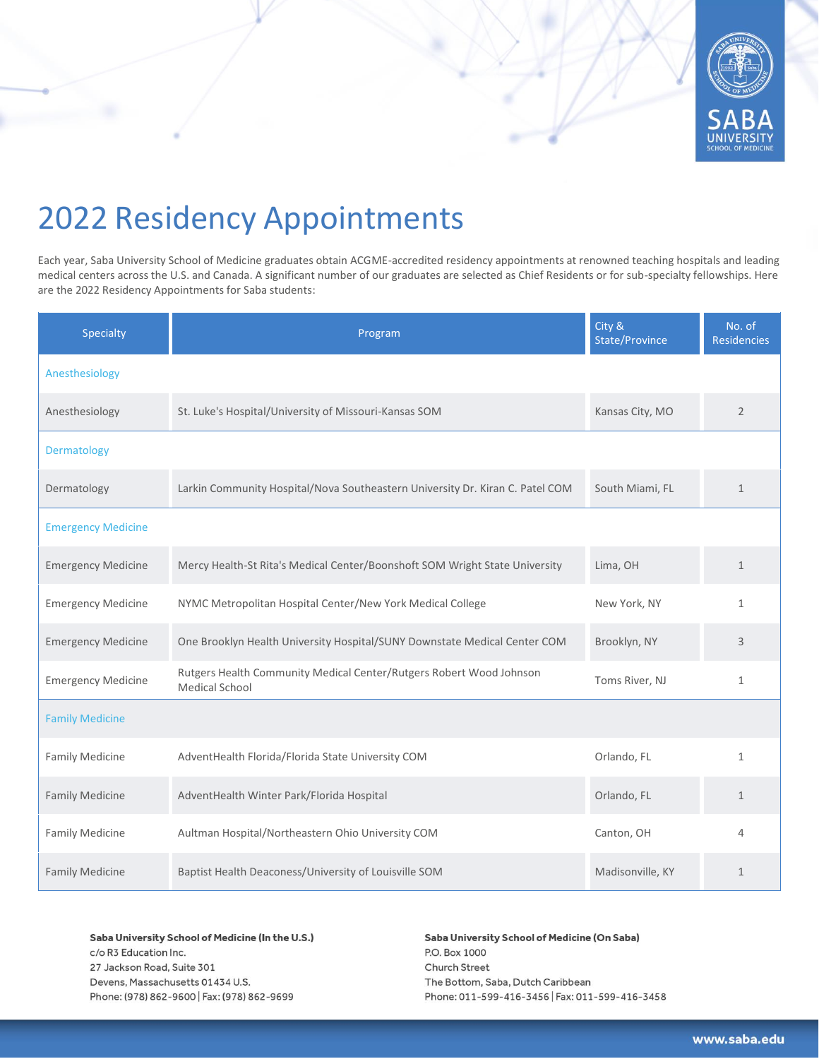

## 2022 Residency Appointments

Each year, Saba University School of Medicine graduates obtain ACGME-accredited residency appointments at renowned teaching hospitals and leading medical centers across the U.S. and Canada. A significant number of our graduates are selected as Chief Residents or for sub-specialty fellowships. Here are the 2022 Residency Appointments for Saba students:

| Specialty                 | Program                                                                                      | City &<br>State/Province | No. of<br><b>Residencies</b> |
|---------------------------|----------------------------------------------------------------------------------------------|--------------------------|------------------------------|
| Anesthesiology            |                                                                                              |                          |                              |
| Anesthesiology            | St. Luke's Hospital/University of Missouri-Kansas SOM                                        | Kansas City, MO          | $\overline{2}$               |
| Dermatology               |                                                                                              |                          |                              |
| Dermatology               | Larkin Community Hospital/Nova Southeastern University Dr. Kiran C. Patel COM                | South Miami, FL          | $\mathbf{1}$                 |
| <b>Emergency Medicine</b> |                                                                                              |                          |                              |
| <b>Emergency Medicine</b> | Mercy Health-St Rita's Medical Center/Boonshoft SOM Wright State University                  | Lima, OH                 | $\mathbf{1}$                 |
| <b>Emergency Medicine</b> | NYMC Metropolitan Hospital Center/New York Medical College                                   | New York, NY             | $\mathbf{1}$                 |
| <b>Emergency Medicine</b> | One Brooklyn Health University Hospital/SUNY Downstate Medical Center COM                    | Brooklyn, NY             | 3                            |
| <b>Emergency Medicine</b> | Rutgers Health Community Medical Center/Rutgers Robert Wood Johnson<br><b>Medical School</b> | Toms River, NJ           | $\mathbf{1}$                 |
| <b>Family Medicine</b>    |                                                                                              |                          |                              |
| <b>Family Medicine</b>    | AdventHealth Florida/Florida State University COM                                            | Orlando, FL              | $\mathbf{1}$                 |
| <b>Family Medicine</b>    | AdventHealth Winter Park/Florida Hospital                                                    | Orlando, FL              | $\mathbf{1}$                 |
| <b>Family Medicine</b>    | Aultman Hospital/Northeastern Ohio University COM                                            | Canton, OH               | 4                            |
| <b>Family Medicine</b>    | Baptist Health Deaconess/University of Louisville SOM                                        | Madisonville, KY         | 1                            |

Saba University School of Medicine (In the U.S.) c/o R3 Education Inc. 27 Jackson Road, Suite 301

Devens, Massachusetts 01434 U.S. Phone: (978) 862-9600 | Fax: (978) 862-9699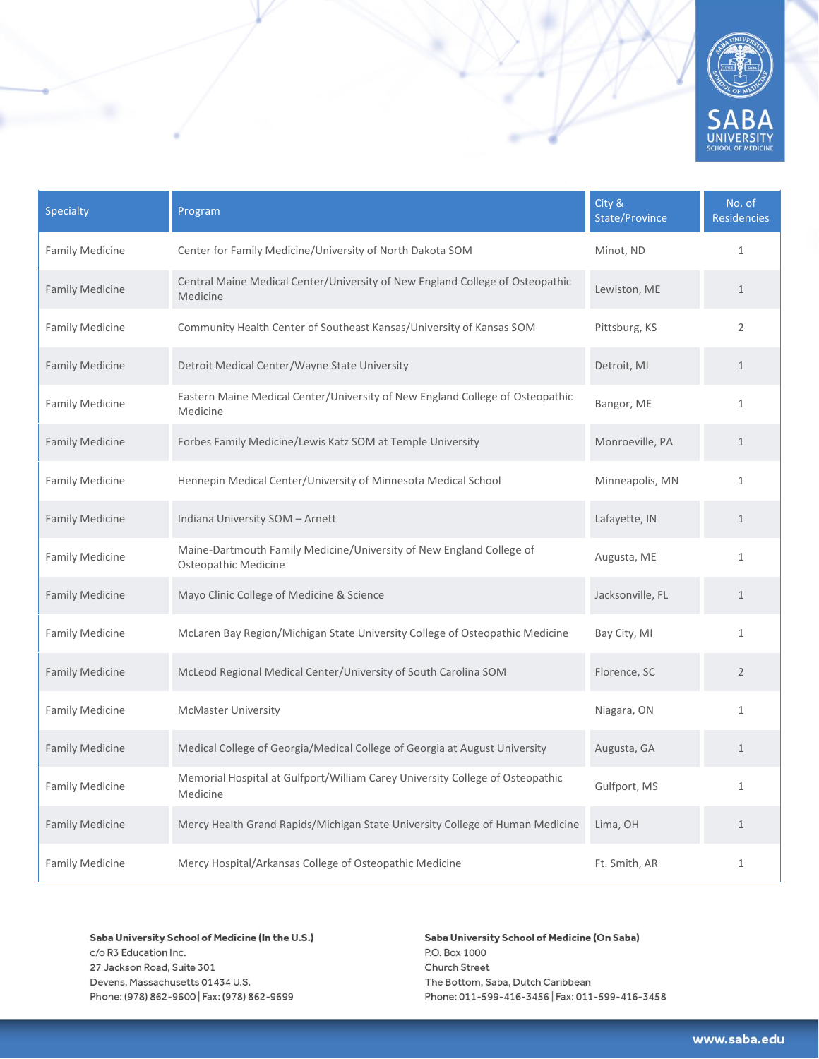

| Specialty              | Program                                                                                      | City &<br>State/Province | No. of<br><b>Residencies</b> |
|------------------------|----------------------------------------------------------------------------------------------|--------------------------|------------------------------|
| <b>Family Medicine</b> | Center for Family Medicine/University of North Dakota SOM                                    | Minot, ND                | $\mathbf 1$                  |
| <b>Family Medicine</b> | Central Maine Medical Center/University of New England College of Osteopathic<br>Medicine    | Lewiston, ME             | $\mathbf{1}$                 |
| <b>Family Medicine</b> | Community Health Center of Southeast Kansas/University of Kansas SOM                         | Pittsburg, KS            | $\overline{2}$               |
| <b>Family Medicine</b> | Detroit Medical Center/Wayne State University                                                | Detroit, MI              | $\mathbf{1}$                 |
| <b>Family Medicine</b> | Eastern Maine Medical Center/University of New England College of Osteopathic<br>Medicine    | Bangor, ME               | $\mathbf{1}$                 |
| <b>Family Medicine</b> | Forbes Family Medicine/Lewis Katz SOM at Temple University                                   | Monroeville, PA          | $\mathbf{1}$                 |
| <b>Family Medicine</b> | Hennepin Medical Center/University of Minnesota Medical School                               | Minneapolis, MN          | $\mathbf{1}$                 |
| <b>Family Medicine</b> | Indiana University SOM - Arnett                                                              | Lafayette, IN            | $\mathbf{1}$                 |
| <b>Family Medicine</b> | Maine-Dartmouth Family Medicine/University of New England College of<br>Osteopathic Medicine | Augusta, ME              | $\mathbf{1}$                 |
| <b>Family Medicine</b> | Mayo Clinic College of Medicine & Science                                                    | Jacksonville, FL         | $\mathbf{1}$                 |
| <b>Family Medicine</b> | McLaren Bay Region/Michigan State University College of Osteopathic Medicine                 | Bay City, MI             | $\mathbf{1}$                 |
| <b>Family Medicine</b> | McLeod Regional Medical Center/University of South Carolina SOM                              | Florence, SC             | $\overline{2}$               |
| <b>Family Medicine</b> | <b>McMaster University</b>                                                                   | Niagara, ON              | $\mathbf{1}$                 |
| <b>Family Medicine</b> | Medical College of Georgia/Medical College of Georgia at August University                   | Augusta, GA              | $\mathbf 1$                  |
| <b>Family Medicine</b> | Memorial Hospital at Gulfport/William Carey University College of Osteopathic<br>Medicine    | Gulfport, MS             | $\mathbf{1}$                 |
| <b>Family Medicine</b> | Mercy Health Grand Rapids/Michigan State University College of Human Medicine                | Lima, OH                 | $\mathbf{1}$                 |
| <b>Family Medicine</b> | Mercy Hospital/Arkansas College of Osteopathic Medicine                                      | Ft. Smith, AR            | $\mathbf{1}$                 |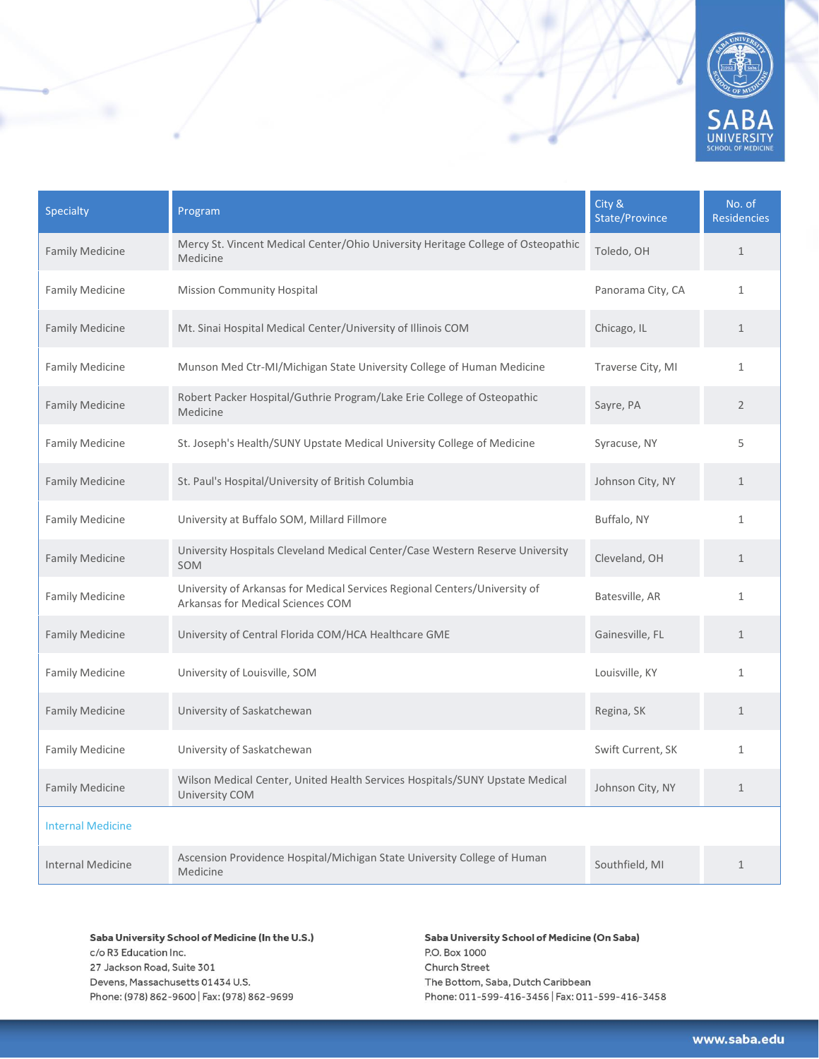

| Specialty                | Program                                                                                                         | City &<br>State/Province | No. of<br><b>Residencies</b> |
|--------------------------|-----------------------------------------------------------------------------------------------------------------|--------------------------|------------------------------|
| <b>Family Medicine</b>   | Mercy St. Vincent Medical Center/Ohio University Heritage College of Osteopathic<br>Medicine                    | Toledo, OH               | $\mathbf{1}$                 |
| <b>Family Medicine</b>   | <b>Mission Community Hospital</b>                                                                               | Panorama City, CA        | $\mathbf{1}$                 |
| <b>Family Medicine</b>   | Mt. Sinai Hospital Medical Center/University of Illinois COM                                                    | Chicago, IL              | $\mathbf{1}$                 |
| <b>Family Medicine</b>   | Munson Med Ctr-MI/Michigan State University College of Human Medicine                                           | Traverse City, MI        | $\mathbf{1}$                 |
| <b>Family Medicine</b>   | Robert Packer Hospital/Guthrie Program/Lake Erie College of Osteopathic<br>Medicine                             | Sayre, PA                | $\overline{2}$               |
| <b>Family Medicine</b>   | St. Joseph's Health/SUNY Upstate Medical University College of Medicine                                         | Syracuse, NY             | 5                            |
| <b>Family Medicine</b>   | St. Paul's Hospital/University of British Columbia                                                              | Johnson City, NY         | $\mathbf{1}$                 |
| <b>Family Medicine</b>   | University at Buffalo SOM, Millard Fillmore                                                                     | Buffalo, NY              | $\mathbf{1}$                 |
| <b>Family Medicine</b>   | University Hospitals Cleveland Medical Center/Case Western Reserve University<br>SOM                            | Cleveland, OH            | $\mathbf{1}$                 |
| <b>Family Medicine</b>   | University of Arkansas for Medical Services Regional Centers/University of<br>Arkansas for Medical Sciences COM | Batesville, AR           | $\mathbf{1}$                 |
| <b>Family Medicine</b>   | University of Central Florida COM/HCA Healthcare GME                                                            | Gainesville, FL          | $\mathbf{1}$                 |
| <b>Family Medicine</b>   | University of Louisville, SOM                                                                                   | Louisville, KY           | $\mathbf{1}$                 |
| <b>Family Medicine</b>   | University of Saskatchewan                                                                                      | Regina, SK               | $\mathbf{1}$                 |
| <b>Family Medicine</b>   | University of Saskatchewan                                                                                      | Swift Current, SK        | $\mathbf{1}$                 |
| <b>Family Medicine</b>   | Wilson Medical Center, United Health Services Hospitals/SUNY Upstate Medical<br>University COM                  | Johnson City, NY         | $\mathbf{1}$                 |
| <b>Internal Medicine</b> |                                                                                                                 |                          |                              |
| <b>Internal Medicine</b> | Ascension Providence Hospital/Michigan State University College of Human<br>Medicine                            | Southfield, MI           | $\mathbf{1}$                 |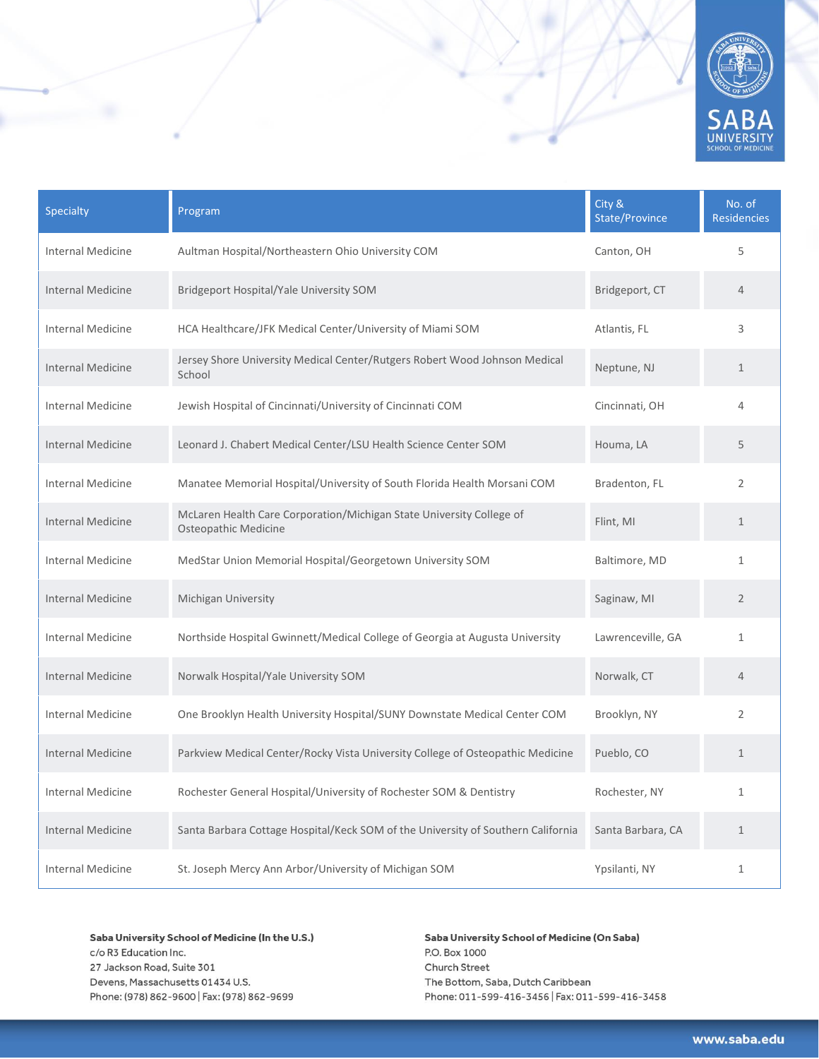

| <b>Specialty</b>         | Program                                                                                      | City &<br><b>State/Province</b> | No. of<br><b>Residencies</b> |
|--------------------------|----------------------------------------------------------------------------------------------|---------------------------------|------------------------------|
| <b>Internal Medicine</b> | Aultman Hospital/Northeastern Ohio University COM                                            | Canton, OH                      | 5                            |
| <b>Internal Medicine</b> | Bridgeport Hospital/Yale University SOM                                                      | Bridgeport, CT                  | $\overline{4}$               |
| <b>Internal Medicine</b> | HCA Healthcare/JFK Medical Center/University of Miami SOM                                    | Atlantis, FL                    | 3                            |
| <b>Internal Medicine</b> | Jersey Shore University Medical Center/Rutgers Robert Wood Johnson Medical<br>School         | Neptune, NJ                     | $\mathbf{1}$                 |
| <b>Internal Medicine</b> | Jewish Hospital of Cincinnati/University of Cincinnati COM                                   | Cincinnati, OH                  | 4                            |
| <b>Internal Medicine</b> | Leonard J. Chabert Medical Center/LSU Health Science Center SOM                              | Houma, LA                       | 5                            |
| Internal Medicine        | Manatee Memorial Hospital/University of South Florida Health Morsani COM                     | Bradenton, FL                   | $\overline{2}$               |
| <b>Internal Medicine</b> | McLaren Health Care Corporation/Michigan State University College of<br>Osteopathic Medicine | Flint, MI                       | $\mathbf{1}$                 |
| <b>Internal Medicine</b> | MedStar Union Memorial Hospital/Georgetown University SOM                                    | Baltimore, MD                   | $\mathbf{1}$                 |
| Internal Medicine        | Michigan University                                                                          | Saginaw, MI                     | $\overline{2}$               |
| <b>Internal Medicine</b> | Northside Hospital Gwinnett/Medical College of Georgia at Augusta University                 | Lawrenceville, GA               | $\mathbf{1}$                 |
| <b>Internal Medicine</b> | Norwalk Hospital/Yale University SOM                                                         | Norwalk, CT                     | $\overline{4}$               |
| <b>Internal Medicine</b> | One Brooklyn Health University Hospital/SUNY Downstate Medical Center COM                    | Brooklyn, NY                    | $\overline{2}$               |
| <b>Internal Medicine</b> | Parkview Medical Center/Rocky Vista University College of Osteopathic Medicine               | Pueblo, CO                      | $\mathbf{1}$                 |
| <b>Internal Medicine</b> | Rochester General Hospital/University of Rochester SOM & Dentistry                           | Rochester, NY                   | $\mathbf{1}$                 |
| <b>Internal Medicine</b> | Santa Barbara Cottage Hospital/Keck SOM of the University of Southern California             | Santa Barbara, CA               | $\mathbf{1}$                 |
| <b>Internal Medicine</b> | St. Joseph Mercy Ann Arbor/University of Michigan SOM                                        | Ypsilanti, NY                   | $\mathbf{1}$                 |

Saba University School of Medicine (In the U.S.) c/o R3 Education Inc. 27 Jackson Road, Suite 301 Devens, Massachusetts 01434 U.S.

Phone: (978) 862-9600 | Fax: (978) 862-9699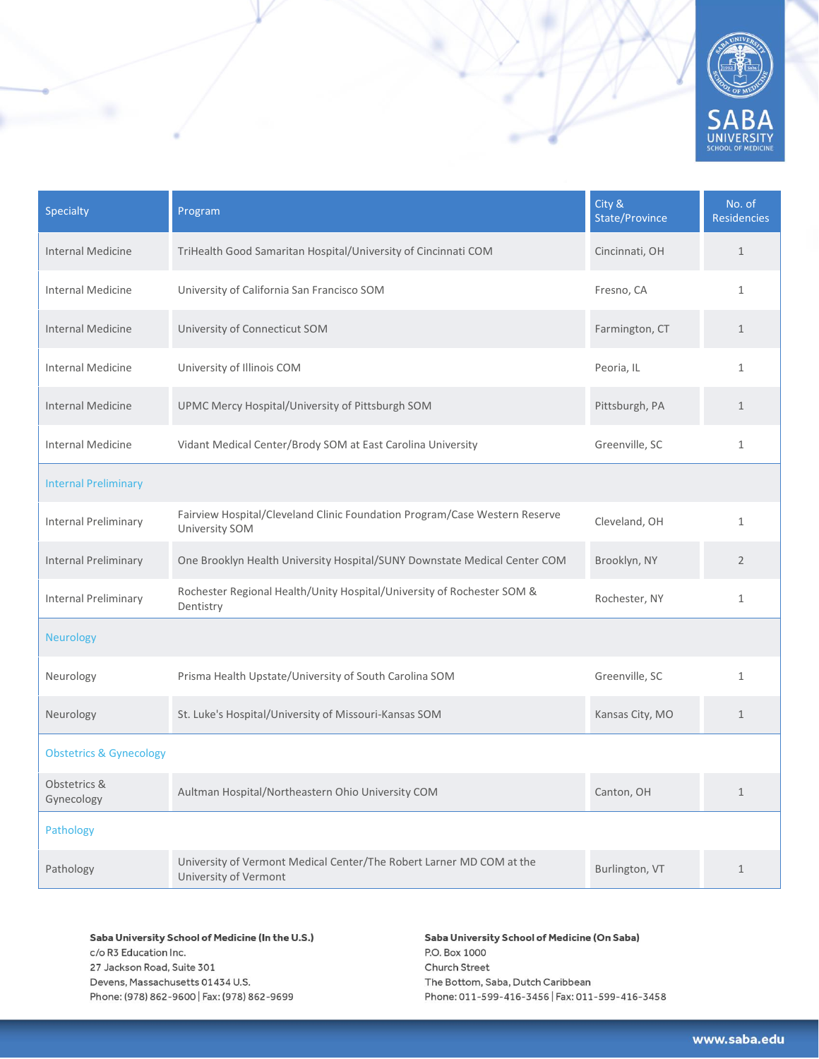

| Specialty                          | Program                                                                                       | City &<br>State/Province | No. of<br><b>Residencies</b> |
|------------------------------------|-----------------------------------------------------------------------------------------------|--------------------------|------------------------------|
| <b>Internal Medicine</b>           | TriHealth Good Samaritan Hospital/University of Cincinnati COM                                | Cincinnati, OH           | $\mathbf{1}$                 |
| <b>Internal Medicine</b>           | University of California San Francisco SOM                                                    | Fresno, CA               | $\mathbf{1}$                 |
| <b>Internal Medicine</b>           | University of Connecticut SOM                                                                 | Farmington, CT           | $\mathbf{1}$                 |
| <b>Internal Medicine</b>           | University of Illinois COM                                                                    | Peoria, IL               | $\mathbf{1}$                 |
| <b>Internal Medicine</b>           | UPMC Mercy Hospital/University of Pittsburgh SOM                                              | Pittsburgh, PA           | $\mathbf{1}$                 |
| <b>Internal Medicine</b>           | Vidant Medical Center/Brody SOM at East Carolina University                                   | Greenville, SC           | $\mathbf{1}$                 |
| <b>Internal Preliminary</b>        |                                                                                               |                          |                              |
| Internal Preliminary               | Fairview Hospital/Cleveland Clinic Foundation Program/Case Western Reserve<br>University SOM  | Cleveland, OH            | $\mathbf{1}$                 |
| Internal Preliminary               | One Brooklyn Health University Hospital/SUNY Downstate Medical Center COM                     | Brooklyn, NY             | $\overline{2}$               |
| <b>Internal Preliminary</b>        | Rochester Regional Health/Unity Hospital/University of Rochester SOM &<br>Dentistry           | Rochester, NY            | $\mathbf{1}$                 |
| <b>Neurology</b>                   |                                                                                               |                          |                              |
| Neurology                          | Prisma Health Upstate/University of South Carolina SOM                                        | Greenville, SC           | $\mathbf{1}$                 |
| Neurology                          | St. Luke's Hospital/University of Missouri-Kansas SOM                                         | Kansas City, MO          | $\mathbf{1}$                 |
| <b>Obstetrics &amp; Gynecology</b> |                                                                                               |                          |                              |
| Obstetrics &<br>Gynecology         | Aultman Hospital/Northeastern Ohio University COM                                             | Canton, OH               | $\mathbf{1}$                 |
| Pathology                          |                                                                                               |                          |                              |
| Pathology                          | University of Vermont Medical Center/The Robert Larner MD COM at the<br>University of Vermont | Burlington, VT           | $\mathbf{1}$                 |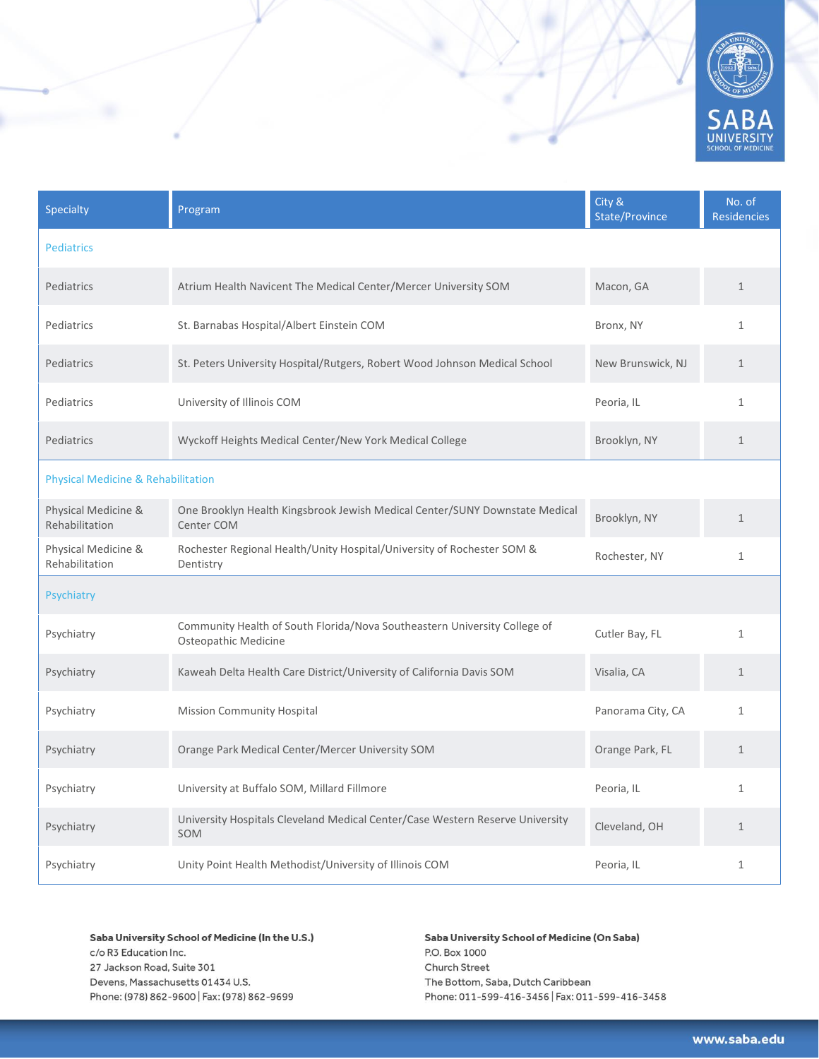

| Specialty                                     | Program                                                                                           | City &<br>State/Province | No. of<br><b>Residencies</b> |
|-----------------------------------------------|---------------------------------------------------------------------------------------------------|--------------------------|------------------------------|
| <b>Pediatrics</b>                             |                                                                                                   |                          |                              |
| Pediatrics                                    | Atrium Health Navicent The Medical Center/Mercer University SOM                                   | Macon, GA                | $\mathbf{1}$                 |
| Pediatrics                                    | St. Barnabas Hospital/Albert Einstein COM                                                         | Bronx, NY                | $\mathbf{1}$                 |
| Pediatrics                                    | St. Peters University Hospital/Rutgers, Robert Wood Johnson Medical School                        | New Brunswick, NJ        | $\mathbf{1}$                 |
| Pediatrics                                    | University of Illinois COM                                                                        | Peoria, IL               | $\mathbf{1}$                 |
| Pediatrics                                    | Wyckoff Heights Medical Center/New York Medical College                                           | Brooklyn, NY             | $\mathbf{1}$                 |
| <b>Physical Medicine &amp; Rehabilitation</b> |                                                                                                   |                          |                              |
| Physical Medicine &<br>Rehabilitation         | One Brooklyn Health Kingsbrook Jewish Medical Center/SUNY Downstate Medical<br>Center COM         | Brooklyn, NY             | $\mathbf{1}$                 |
| Physical Medicine &<br>Rehabilitation         | Rochester Regional Health/Unity Hospital/University of Rochester SOM &<br>Dentistry               | Rochester, NY            | $\mathbf{1}$                 |
| Psychiatry                                    |                                                                                                   |                          |                              |
| Psychiatry                                    | Community Health of South Florida/Nova Southeastern University College of<br>Osteopathic Medicine | Cutler Bay, FL           | $\mathbf{1}$                 |
| Psychiatry                                    | Kaweah Delta Health Care District/University of California Davis SOM                              | Visalia, CA              | $\mathbf{1}$                 |
| Psychiatry                                    | Mission Community Hospital                                                                        | Panorama City, CA        | $\mathbf{1}$                 |
| Psychiatry                                    | Orange Park Medical Center/Mercer University SOM                                                  | Orange Park, FL          | $\mathbf{1}$                 |
| Psychiatry                                    | University at Buffalo SOM, Millard Fillmore                                                       | Peoria, IL               | $\mathbf{1}$                 |
| Psychiatry                                    | University Hospitals Cleveland Medical Center/Case Western Reserve University<br>SOM              | Cleveland, OH            | $\mathbf{1}$                 |
| Psychiatry                                    | Unity Point Health Methodist/University of Illinois COM                                           | Peoria, IL               | $\mathbf{1}$                 |